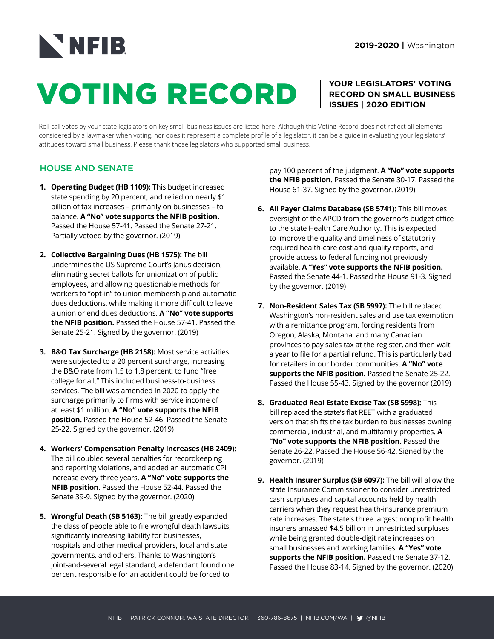## NNFIB

# VOTING RECORD

### **YOUR LEGISLATORS' VOTING RECORD ON SMALL BUSINESS ISSUES | 2020 EDITION**

Roll call votes by your state legislators on key small business issues are listed here. Although this Voting Record does not reflect all elements considered by a lawmaker when voting, nor does it represent a complete profile of a legislator, it can be a guide in evaluating your legislators' attitudes toward small business. Please thank those legislators who supported small business.

## HOUSE AND SENATE

- **1. Operating Budget (HB 1109):** This budget increased state spending by 20 percent, and relied on nearly \$1 billion of tax increases – primarily on businesses – to balance. **A "No" vote supports the NFIB position.**  Passed the House 57-41. Passed the Senate 27-21. Partially vetoed by the governor. (2019)
- **2. Collective Bargaining Dues (HB 1575):** The bill undermines the US Supreme Court's Janus decision, eliminating secret ballots for unionization of public employees, and allowing questionable methods for workers to "opt-in" to union membership and automatic dues deductions, while making it more difficult to leave a union or end dues deductions. **A "No" vote supports the NFIB position.** Passed the House 57-41. Passed the Senate 25-21. Signed by the governor. (2019)
- **3. B&O Tax Surcharge (HB 2158):** Most service activities were subjected to a 20 percent surcharge, increasing the B&O rate from 1.5 to 1.8 percent, to fund "free college for all." This included business-to-business services. The bill was amended in 2020 to apply the surcharge primarily to firms with service income of at least \$1 million. **A "No" vote supports the NFIB position.** Passed the House 52-46. Passed the Senate 25-22. Signed by the governor. (2019)
- **4. Workers' Compensation Penalty Increases (HB 2409):**  The bill doubled several penalties for recordkeeping and reporting violations, and added an automatic CPI increase every three years. **A "No" vote supports the NFIB position.** Passed the House 52-44. Passed the Senate 39-9. Signed by the governor. (2020)
- **5. Wrongful Death (SB 5163):** The bill greatly expanded the class of people able to file wrongful death lawsuits, significantly increasing liability for businesses, hospitals and other medical providers, local and state governments, and others. Thanks to Washington's joint-and-several legal standard, a defendant found one percent responsible for an accident could be forced to

pay 100 percent of the judgment. **A "No" vote supports the NFIB position.** Passed the Senate 30-17. Passed the House 61-37. Signed by the governor. (2019)

- **6. All Payer Claims Database (SB 5741):** This bill moves oversight of the APCD from the governor's budget office to the state Health Care Authority. This is expected to improve the quality and timeliness of statutorily required health-care cost and quality reports, and provide access to federal funding not previously available. **A "Yes" vote supports the NFIB position.**  Passed the Senate 44-1. Passed the House 91-3. Signed by the governor. (2019)
- **7. Non-Resident Sales Tax (SB 5997):** The bill replaced Washington's non-resident sales and use tax exemption with a remittance program, forcing residents from Oregon, Alaska, Montana, and many Canadian provinces to pay sales tax at the register, and then wait a year to file for a partial refund. This is particularly bad for retailers in our border communities. **A "No" vote supports the NFIB position.** Passed the Senate 25-22. Passed the House 55-43. Signed by the governor (2019)
- **8. Graduated Real Estate Excise Tax (SB 5998):** This bill replaced the state's flat REET with a graduated version that shifts the tax burden to businesses owning commercial, industrial, and multifamily properties. **A "No" vote supports the NFIB position.** Passed the Senate 26-22. Passed the House 56-42. Signed by the governor. (2019)
- **9. Health Insurer Surplus (SB 6097):** The bill will allow the state Insurance Commissioner to consider unrestricted cash surpluses and capital accounts held by health carriers when they request health-insurance premium rate increases. The state's three largest nonprofit health insurers amassed \$4.5 billion in unrestricted surpluses while being granted double-digit rate increases on small businesses and working families. **A "Yes" vote supports the NFIB position.** Passed the Senate 37-12. Passed the House 83-14. Signed by the governor. (2020)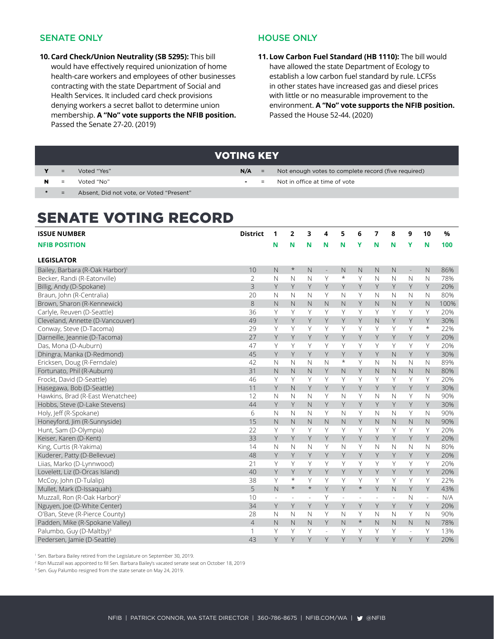#### SENATE ONLY

**10.Card Check/Union Neutrality (SB 5295):** This bill would have effectively required unionization of home health-care workers and employees of other businesses contracting with the state Department of Social and Health Services. It included card check provisions denying workers a secret ballot to determine union membership. **A "No" vote supports the NFIB position.**  Passed the Senate 27-20. (2019)

#### HOUSE ONLY

**11. Low Carbon Fuel Standard (HB 1110):** The bill would have allowed the state Department of Ecology to establish a low carbon fuel standard by rule. LCFSs in other states have increased gas and diesel prices with little or no measurable improvement to the environment. **A "No" vote supports the NFIB position.**  Passed the House 52-44. (2020)

|   |     |                                          | <b>IVOTING KEY</b> |                   |                                                     |
|---|-----|------------------------------------------|--------------------|-------------------|-----------------------------------------------------|
|   | $=$ | Voted "Yes"                              | $N/A =$            |                   | Not enough votes to complete record (five required) |
| N | $=$ | Voted "No"                               | <b>Service</b>     | $\equiv$ $\equiv$ | Not in office at time of vote                       |
|   | $=$ | Absent, Did not vote, or Voted "Present" |                    |                   |                                                     |

## SENATE VOTING RECORD

| <b>ISSUE NUMBER</b>                         | <b>District</b> | 1              | $\overline{2}$          | 3            | 4              | 5            | 6        | 7            | 8            | 9                        | 10                       | $\%$ |
|---------------------------------------------|-----------------|----------------|-------------------------|--------------|----------------|--------------|----------|--------------|--------------|--------------------------|--------------------------|------|
| <b>NFIB POSITION</b>                        |                 | N              | N                       | N            | N              | N            | Υ        | N            | N            | Y                        | N                        | 100  |
|                                             |                 |                |                         |              |                |              |          |              |              |                          |                          |      |
| <b>LEGISLATOR</b>                           |                 |                |                         |              |                |              |          |              |              |                          |                          |      |
| Bailey, Barbara (R-Oak Harbor) <sup>1</sup> | 10              | $\mathsf{N}$   | $\ast$                  | N            | $\overline{a}$ | N            | N        | N            | N            | $\overline{\phantom{a}}$ | N                        | 86%  |
| Becker, Randi (R-Eatonville)                | $\overline{2}$  | $\mathbb N$    | $\mathbb N$             | $\mathbb N$  | Y              | $\star$      | Y        | $\mathsf{N}$ | $\mathbb N$  | $\mathbb N$              | $\mathbb N$              | 78%  |
| Billig, Andy (D-Spokane)                    | 3               | Y              | Y                       | Y            | Y              | Y            | Y        | Y            | Y            | Y                        | Y                        | 20%  |
| Braun, John (R-Centralia)                   | 20              | N              | N                       | N            | Y              | N            | Y        | N            | N            | $\mathbb N$              | N                        | 80%  |
| Brown, Sharon (R-Kennewick)                 | 8               | $\mathsf{N}$   | N                       | $\mathsf{N}$ | $\mathsf{N}$   | $\mathbb N$  | Y        | $\mathsf{N}$ | $\mathsf{N}$ | Y                        | $\mathbb N$              | 100% |
| Carlyle, Reuven (D-Seattle)                 | 36              | Y              | Y                       | Y            | Y              | Y            | Y        | Υ            | Υ            | Y                        | Y                        | 20%  |
| Cleveland, Annette (D-Vancouver)            | 49              | Y              | Y                       | Y            | Y              | Y            | Y        | $\mathsf{N}$ | Y            | Y                        | Y                        | 30%  |
| Conway, Steve (D-Tacoma)                    | 29              | Y              | Υ                       | Y            | Y              | Y            | Y        | Y            | Y            | Y                        | $^\star$                 | 22%  |
| Darneille, Jeannie (D-Tacoma)               | 27              | Y              | Υ                       | Y            | Y              | Y            | Y        | Y            | Y            | Y                        | Y                        | 20%  |
| Das, Mona (D-Auburn)                        | 47              | Y              | Y                       | Y            | Y              | Y            | Y        | Y            | Y            | Y                        | Υ                        | 20%  |
| Dhingra, Manka (D-Redmond)                  | 45              | Y              | Y                       | Y            | Y              | Y            | Y        | Y            | $\mathsf{N}$ | Y                        | Y                        | 30%  |
| Ericksen, Doug (R-Ferndale)                 | 42              | N              | N                       | N            | $\mathbb N$    | $^\star$     | Y        | N            | N            | N                        | N                        | 89%  |
| Fortunato, Phil (R-Auburn)                  | 31              | $\mathsf{N}$   | $\overline{\mathsf{N}}$ | $\mathsf{N}$ | Y              | N            | Y        | $\mathsf{N}$ | $\mathsf{N}$ | $\mathsf{N}$             | $\mathsf{N}$             | 80%  |
| Frockt, David (D-Seattle)                   | 46              | Y              | Y                       | Y            | Υ              | Y            | Υ        | Υ            | Y            | Υ                        | Υ                        | 20%  |
| Hasegawa, Bob (D-Seattle)                   | 11              | Y              | $\mathsf{N}$            | Y            | Y              | Y            | Y        | Y            | Y            | Y                        | Y                        | 30%  |
| Hawkins, Brad (R-East Wenatchee)            | 12              | $\mathbb N$    | $\mathbb N$             | $\mathbb N$  | Y              | $\mathsf{N}$ | Y        | $\mathbb N$  | N            | Y                        | $\mathbb N$              | 90%  |
| Hobbs, Steve (D-Lake Stevens)               | 44              | Y              | Y                       | $\mathbb N$  | Y              | Y            | Y        | Y            | Y            | Y                        | Y                        | 30%  |
| Holy, Jeff (R-Spokane)                      | 6               | $\mathbb N$    | $\mathsf{N}$            | N            | Y              | $\mathbb N$  | Y        | $\mathbb N$  | N            | Y                        | N                        | 90%  |
| Honeyford, Jim (R-Sunnyside)                | 15              | $\mathsf{N}$   | N                       | N            | $\mathsf{N}$   | $\mathsf{N}$ | Y        | $\mathsf{N}$ | $\mathsf{N}$ | $\mathbb{N}$             | $\mathbb N$              | 90%  |
| Hunt, Sam (D-Olympia)                       | 22              | Y              | Y                       | Y            | Υ              | Y            | Υ        | Υ            | Y            | Υ                        | Υ                        | 20%  |
| Keiser, Karen (D-Kent)                      | 33              | Y              | Y                       | Y            | Y              | Y            | Y        | Y            | Y            | Y                        | Y                        | 20%  |
| King, Curtis (R-Yakima)                     | 14              | $\mathsf{N}$   | $\mathbb N$             | $\mathbb N$  | Y              | $\mathbb N$  | Y        | $\mathbb N$  | N            | $\mathbb N$              | $\mathbb N$              | 80%  |
| Kuderer, Patty (D-Bellevue)                 | 48              | Y              | Y                       | Y            | Y              | Y            | Y        | Y            | Y            | Y                        | Y                        | 20%  |
| Liias, Marko (D-Lynnwood)                   | 21              | Y              | Y                       | Y            | Y              | Y            | Y        | Y            | Y            | Y                        | Y                        | 20%  |
| Lovelett, Liz (D-Orcas Island)              | 40              | Y              | Y                       | Y            | Y              | Y            | Y        | Y            | Y            | Y                        | Y                        | 20%  |
| McCoy, John (D-Tulalip)                     | 38              | Y              | $^\star$                | Y            | Y              | Y            | Y        | Y            | Υ            | Y                        | Y                        | 22%  |
| Mullet, Mark (D-Issaquah)                   | 5               | $\overline{N}$ | $\star$                 | $\star$      | Y              | Y            | $\star$  | Y            | $\mathsf{N}$ | Y                        | Y                        | 43%  |
| Muzzall, Ron (R-Oak Harbor) <sup>2</sup>    | 10              | L.             |                         | L,           | Υ              | L,           |          | L.           | L.           | $\mathbb N$              | $\overline{\phantom{a}}$ | N/A  |
| Nguyen, Joe (D-White Center)                | 34              | Y              | Y                       | Y            | Y              | Y            | Y        | Y            | Y            | Y                        | Y                        | 20%  |
| O'Ban, Steve (R-Pierce County)              | 28              | N              | N                       | N            | Y              | N            | Υ        | N            | N            | Υ                        | N                        | 90%  |
| Padden, Mike (R-Spokane Valley)             | $\overline{4}$  | $\mathsf{N}$   | $\mathsf{N}$            | $\mathbb N$  | Y              | $\mathbb N$  | $^\star$ | $\mathsf{N}$ | $\mathbb N$  | $\mathbb N$              | $\mathbb N$              | 78%  |
| Palumbo, Guy (D-Maltby) <sup>3</sup>        | 1               | Y              | Y                       | Y            | Ĭ.             | Υ            | Υ        | Υ            | Υ            | $\overline{\phantom{a}}$ | Υ                        | 13%  |
| Pedersen, Jamie (D-Seattle)                 | 43              | Y              | Y                       | Y            | Y              | Y            | Y        | Y            | Y            | Y                        | Y                        | 20%  |
|                                             |                 |                |                         |              |                |              |          |              |              |                          |                          |      |

1 Sen. Barbara Bailey retired from the Legislature on September 30, 2019.

2 Ron Muzzall was appointed to fill Sen. Barbara Bailey's vacated senate seat on October 18, 2019

3 Sen. Guy Palumbo resigned from the state senate on May 24, 2019.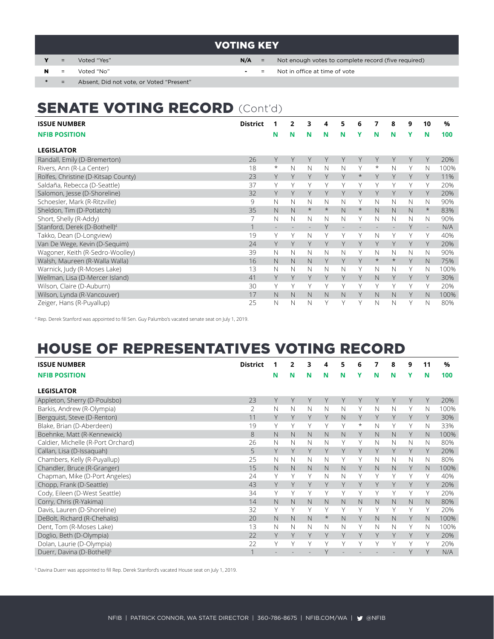### VOTING KEY

- 
- 

Y = Voted "Yes" **N/A** = Not enough votes to complete record (five required)

- N = Voted "No" **-** = Not in office at time of vote
- = Absent, Did not vote, or Voted "Present"

## SENATE VOTING RECORD (Cont'd)

| <b>ISSUE NUMBER</b>                      | <b>District</b> |                | 2 | 3              | 4        | 5                        | 6        | 7        | 8       | 9 | 10       | %    |
|------------------------------------------|-----------------|----------------|---|----------------|----------|--------------------------|----------|----------|---------|---|----------|------|
| <b>NFIB POSITION</b>                     |                 | N              | N | N              | N        | N                        | Y        | N        | N       | Y | N        | 100  |
| <b>LEGISLATOR</b>                        |                 |                |   |                |          |                          |          |          |         |   |          |      |
| Randall, Emily (D-Bremerton)             | 26              | Y              | Y | Y              | Y        | Υ                        | Υ        | Y        | Y       | Y | Υ        | 20%  |
| Rivers, Ann (R-La Center)                | 18              | $\ast$         | N | N              | N        | N                        | Υ        | $^\star$ | N       | Υ | Ν        | 100% |
| Rolfes, Christine (D-Kitsap County)      | 23              | Y              | Y | Υ              | Υ        | Υ                        | $^\star$ | Y        | Y       | Y | Y        | 11%  |
| Saldaña, Rebecca (D-Seattle)             | 37              | Υ              | Υ | Υ              | ٧        | Υ                        | Υ        | Υ        | Υ       | Υ | Υ        | 20%  |
| Salomon, Jesse (D-Shoreline)             | 32              | Υ              | Y | Y              | Y        | Υ                        | Υ        | Y        |         | Υ | Υ        | 20%  |
| Schoesler, Mark (R-Ritzville)            | 9               | Ν              | N | Ν              | N        | N                        | Υ        | N        | N       | Ν | N        | 90%  |
| Sheldon, Tim (D-Potlatch)                | 35              | N              | N | $^\star$       | $^\star$ | N                        | $^\star$ | N        | N       | N | $^\star$ | 83%  |
| Short, Shelly (R-Addy)                   | 7               | N              | N | N              | N        | $\mathbb N$              | Υ        | N        | N       | N | N        | 90%  |
| Stanford, Derek (D-Bothell) <sup>4</sup> | $\mathbf{1}$    | $\overline{a}$ |   | $\overline{a}$ | Y        | $\overline{\phantom{a}}$ |          |          |         | Y | ÷        | N/A  |
| Takko, Dean (D-Longview)                 | 19              | Y              | Υ | N              | Υ        | Y                        | Υ        | N        | Υ       | Υ | Υ        | 40%  |
| Van De Wege, Kevin (D-Sequim)            | 24              | Υ              | Υ | Y              | Y        | Υ                        | Υ        | Υ        | Υ       | Υ | Υ        | 20%  |
| Wagoner, Keith (R-Sedro-Woolley)         | 39              | N              | N | N              | N        | N                        | Υ        | N        | N       | N | Ν        | 90%  |
| Walsh, Maureen (R-Walla Walla)           | 16              | N              | N | N              | Υ        | Y                        | Υ        | $^\star$ | $\star$ | Y | N        | 75%  |
| Warnick, Judy (R-Moses Lake)             | 13              | N              | N | N              | N        | N                        | Υ        | N        | N       | Υ | Ν        | 100% |
| Wellman, Lisa (D-Mercer Island)          | 41              | Υ              | Y | Y              | Υ        | Y                        | Υ        | N.       | Y       | Y | Y        | 30%  |
| Wilson, Claire (D-Auburn)                | 30              | Υ              | Υ | Υ              | Υ        | Υ                        | Υ        | Υ        | Υ       | Υ | Υ        | 20%  |
| Wilson, Lynda (R-Vancouver)              | 17              | N              | N | N              | N        | N                        | Υ        | N        | N.      | Y | N        | 100% |
| Zeiger, Hans (R-Puyallup)                | 25              | N              | N | N              | Υ        | Υ                        | Υ        | N        | N       | Υ | N        | 80%  |

4 Rep. Derek Stanford was appointed to fill Sen. Guy Palumbo's vacated senate seat on July 1, 2019.

## HOUSE OF REPRESENTATIVES VOTING RECORD

| <b>ISSUE NUMBER</b>                    | <b>District</b> |             | 2 | 3 | 4        | 5 | 6        | 7 | 8 | 9 | 11          | %    |
|----------------------------------------|-----------------|-------------|---|---|----------|---|----------|---|---|---|-------------|------|
| <b>NFIB POSITION</b>                   |                 | N           | N | N | N        | N | v        | N | N | Υ | N           | 100  |
| <b>LEGISLATOR</b>                      |                 |             |   |   |          |   |          |   |   |   |             |      |
| Appleton, Sherry (D-Poulsbo)           | 23              | Y           | Y | Y | Y        | Y | Υ        | Y | Υ | Υ | Y           | 20%  |
| Barkis, Andrew (R-Olympia)             | 2               | $\mathbb N$ | N | N | N        | N | Υ        | N | N | Υ | N           | 100% |
| Bergquist, Steve (D-Renton)            | 11              | Y           | Υ | Y | Y        | N | Υ        | Y | Υ | Υ | Y           | 30%  |
| Blake, Brian (D-Aberdeen)              | 19              | Υ           | Υ | Υ | Υ        | Υ | $^\star$ | N | Υ | Υ | N           | 33%  |
| Boehnke, Matt (R-Kennewick)            | 8               | N           | N | N | N        | N | Y        | N | N | Y | N           | 100% |
| Caldier, Michelle (R-Port Orchard)     | 26              | N           | N | N | N        | Υ | Υ        | N | N | N | N           | 80%  |
| Callan, Lisa (D-Issaquah)              | 5               | Y           | Y | Y | Y        | Y | Υ        | Y | Y | Υ | Υ           | 20%  |
| Chambers, Kelly (R-Puyallup)           | 25              | $\mathbb N$ | N | N | N        | Υ | Υ        | N | N | N | N           | 80%  |
| Chandler, Bruce (R-Granger)            | 15              | $\mathbb N$ | N | N | N        | N | Υ        | N | N | Υ | N           | 100% |
| Chapman, Mike (D-Port Angeles)         | 24              | Y           | Y | Υ | N        | N | Υ        | Υ | Υ | Υ | Υ           | 40%  |
| Chopp, Frank (D-Seattle)               | 43              | Y           | Y | Y | Y        | Y | Υ        | Y | Y | Y | Υ           | 20%  |
| Cody, Eileen (D-West Seattle)          | 34              | Υ           | Υ | Υ | Υ        | Υ | Υ        | Υ | Υ | Υ | γ           | 20%  |
| Corry, Chris (R-Yakima)                | 14              | N           | N | N | N        | N | N        | N | N | N | $\mathbb N$ | 80%  |
| Davis, Lauren (D-Shoreline)            | 32              | Υ           | Υ | Y | Υ        | Υ | Υ        | Υ | Υ | Υ | Υ           | 20%  |
| DeBolt, Richard (R-Chehalis)           | 20              | $\mathbb N$ | N | N | $^\star$ | N | Y        | N | N | Y | $\mathbb N$ | 100% |
| Dent, Tom (R-Moses Lake)               | 13              | N           | N | N | N        | N | Υ        | N | Ν | Υ | N           | 100% |
| Doglio, Beth (D-Olympia)               | 22              | Y           | Y | Y | Y        | Y | Υ        | Y | Y | Υ | Υ           | 20%  |
| Dolan, Laurie (D-Olympia)              | 22              | Υ           | γ | Y | Υ        | γ | Υ        | Υ | ٧ | Υ | γ           | 20%  |
| Duerr, Davina (D-Bothell) <sup>5</sup> |                 |             |   |   | Y        |   |          |   |   | Υ | $\vee$      | N/A  |

5 Davina Duerr was appointed to fill Rep. Derek Stanford's vacated House seat on July 1, 2019.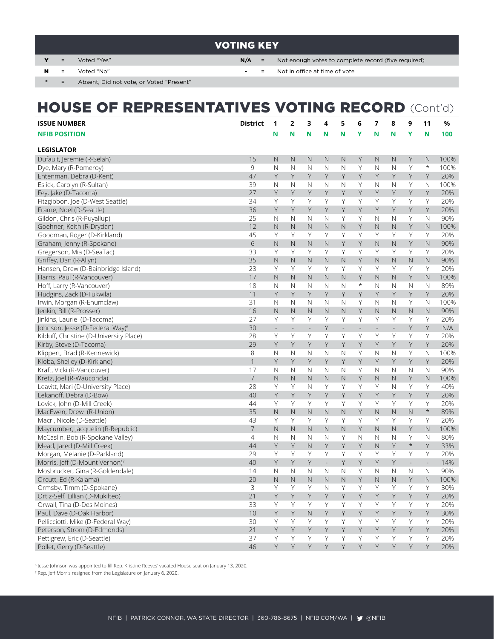## VOTING KEY

- Y = Voted "Yes" **N/A** = Not enough votes to complete record (five required)
- 

N = Voted "No" **-** = Not in office at time of vote

\* = Absent, Did not vote, or Voted "Present"

| <b>HOUSE OF REPRESENTATIVES VOTING RECORD (Cont'd)</b> |                 |                         |                          |                |              |               |                          |                                 |         |              |      |
|--------------------------------------------------------|-----------------|-------------------------|--------------------------|----------------|--------------|---------------|--------------------------|---------------------------------|---------|--------------|------|
| <b>ISSUE NUMBER</b>                                    | <b>District</b> | 1                       | $\mathbf{2}$             | 3              | 4            | 5             | 6                        | 7<br>8                          | 9       | 11           | %    |
| <b>NFIB POSITION</b>                                   |                 | N                       | N                        | N              | N            | Ν             | Υ                        | N<br>N                          | Ý       | N            | 100  |
| <b>LEGISLATOR</b>                                      |                 |                         |                          |                |              |               |                          |                                 |         |              |      |
| Dufault, Jeremie (R-Selah)                             | 15              | $\mathsf{N}$            | $\mathbb N$              | $\mathbb N$    | $\mathbb N$  | N             | Υ                        | N<br>N                          | Y       | N            | 100% |
| Dye, Mary (R-Pomeroy)                                  | 9               | $\mathbb N$             | $\mathbb N$              | N              | N            | $\mathbb N$   | Υ                        | N<br>N                          | Υ       | $\ast$       | 100% |
| Entenman, Debra (D-Kent)                               | 47              | Y                       | Y                        | Y              | Y            | Y             | Y                        | Y<br>Y                          | Y       | Y            | 20%  |
| Eslick, Carolyn (R-Sultan)                             | 39              | N                       | $\mathbb N$              | N              | N            | N             | Y                        | N<br>N                          | Y       | Ν            | 100% |
| Fey, Jake (D-Tacoma)                                   | 27              | Y                       | Y                        | Υ              | Y            | Υ             | Y                        | Y<br>Y                          | Y       | Y            | 20%  |
| Fitzgibbon, Joe (D-West Seattle)                       | 34              | Υ                       | Υ                        | Υ              | Υ            | Y             | Y                        | Υ<br>Y                          | Υ       | Y            | 20%  |
| Frame, Noel (D-Seattle)                                | 36              | Y                       | Y                        | Y              | Y            | Υ             | Y                        | Y<br>Y                          | Y       | Y            | 20%  |
| Gildon, Chris (R-Puyallup)                             | 25              | N                       | $\mathbb N$              | N              | N            | Y             | Y                        | N<br>N                          | Y       | N            | 90%  |
| Goehner, Keith (R-Drydan)                              | 12              | $\mathbb N$             | $\mathsf{N}$             | N              | $\mathbb N$  | $\mathbb N$   | Y                        | N<br>N.                         | Υ       | N            | 100% |
| Goodman, Roger (D-Kirkland)                            | 45              | Υ                       | Y                        | Υ              | Υ            | Y             | Y                        | Υ<br>Y                          | Υ       | Υ            | 20%  |
| Graham, Jenny (R-Spokane)                              | 6               | $\mathbb N$             | $\mathsf{N}$             | $\mathbb N$    | $\mathsf{N}$ | Υ             | Y                        | $\mathsf{N}$<br>N.              | Y       | N            | 90%  |
| Gregerson, Mia (D-SeaTac)                              | 33              | Υ                       | Y                        | Y              | Υ            | Y             | Y                        | Υ<br>Y                          | Y       | Υ            | 20%  |
| Griffey, Dan (R-Allyn)                                 | 35              | N                       | $\mathsf{N}$             | N              | $\mathbb N$  | $\mathbb N$   | Y                        | N<br>N.                         | N       | N            | 90%  |
| Hansen, Drew (D-Bainbridge Island)                     | 23              | Υ                       | Y                        | Υ              | Υ            | Y             | Y                        | Υ<br>Y                          | Y       | Υ            | 20%  |
| Harris, Paul (R-Vancouver)                             | 17              | $\mathbb N$             | $\mathbb N$              | N              | $\mathbb N$  | N             | Y                        | N<br>N.                         | Y       | N            | 100% |
| Hoff, Larry (R-Vancouver)                              | 18              | $\mathbb N$             | $\mathbb N$              | N              | N            | N             | $^\star$                 | N<br>N                          | N       | N            | 89%  |
| Hudgins, Zack (D-Tukwila)                              | 11              | Y                       | Y                        | Υ              | Υ            | Y             | Y                        | Υ<br>Y                          | Y       | Y            | 20%  |
| Irwin, Morgan (R-Enumclaw)                             | 31              | $\mathbb N$             | $\mathbb N$              | N              | N            | N             | Y                        | N<br>N                          | Y       | N            | 100% |
| Jenkin, Bill (R-Prosser)                               | 16              | $\mathsf{N}$            | $\mathsf{N}$             | N              | $\mathbb N$  | N             | Y                        | N<br>N                          | N       | N            | 90%  |
| Jinkins, Laurie (D-Tacoma)                             | 27              | Y                       | Y                        | Y              | Y            | Y             | Y                        | Y<br>Y                          | Y       | Υ            | 20%  |
| Johnson, Jesse (D-Federal Way) <sup>6</sup>            | 30              | $\sim$                  | $\overline{\phantom{a}}$ | $\mathbb{Z}^2$ | Υ            | $\frac{1}{2}$ | $\overline{\phantom{a}}$ | $\frac{1}{2}$<br>$\overline{a}$ | Υ       | Y            | N/A  |
| Kilduff, Christine (D-University Place)                | 28              | Y                       | Υ                        | Υ              | Y            | Y             | Y                        | Y<br>Y                          | Υ       | Y            | 20%  |
| Kirby, Steve (D-Tacoma)                                | 29              | Y                       | Y                        | Y              | Y            | Y             | Y                        | Y<br>Y                          | Y       | Y            | 20%  |
| Klippert, Brad (R-Kennewick)                           | 8               | N                       | N                        | N              | N            | N             | Y                        | N<br>N                          | Υ       | N            | 100% |
| Kloba, Shelley (D-Kirkland)                            | 1               | Y                       | Y                        | Υ              | Υ            | Y             | Y                        | Y<br>Y                          | Y       | Y            | 20%  |
| Kraft, Vicki (R-Vancouver)                             | 17              | N                       | $\mathbb N$              | N              | N            | N             | Y                        | N<br>N                          | N       | N            | 90%  |
| Kretz, Joel (R-Wauconda)                               | $\overline{7}$  | $\overline{\mathsf{N}}$ | $\mathsf{N}$             | $\mathbb N$    | $\mathbb N$  | $\mathbb N$   | Y                        | $\mathsf N$<br>N                | Y       | N            | 100% |
| Leavitt, Mari (D-University Place)                     | 28              | Υ                       | Y                        | N              | Υ            | Y             | Y                        | Υ<br>N                          | Υ       | Υ            | 40%  |
| Lekanoff, Debra (D-Bow)                                | 40              | Y                       | Y                        | Y              | Υ            | Υ             | Y                        | Y<br>Y                          | Y       | Y            | 20%  |
| Lovick, John (D-Mill Creek)                            | 44              | Υ                       | Υ                        | Υ              | Y            | Y             | Y                        | Υ<br>Y                          | Υ       | Y            | 20%  |
| MacEwen, Drew (R-Union)                                | 35              | $\mathsf{N}$            | $\mathbb N$              | $\mathbb N$    | $\mathsf{N}$ | $\mathbb N$   | Y                        | N<br>$\mathbb N$                | N       | $\star$      | 89%  |
| Macri, Nicole (D-Seattle)                              | 43              | Υ                       | Y                        | Υ              | Υ            | Y             | Υ                        | Υ<br>Y                          | Υ       | Y            | 20%  |
| Maycumber, Jacquelin (R-Republic)                      | $\overline{7}$  | $\mathbb N$             | $\mathsf{N}$             | $\mathbb N$    | $\mathsf{N}$ | $\mathbb N$   | Y                        | $\mathbb N$<br>$\mathsf{N}$     | Y       | N            | 100% |
| McCaslin, Bob (R-Spokane Valley)                       | 4               | N                       | $\mathbb N$              | N              | N            | Y             | $\mathbb N$              | N<br>N                          | Y       | N            | 80%  |
| Mead, Jared (D-Mill Creek)                             | 44              | Y                       | Y                        | $\mathbb N$    | Y            | Y             | Y                        | N.<br>Y                         | $\star$ | Y            | 33%  |
| Morgan, Melanie (D-Parkland)                           | 29              | Υ                       | Y                        | Y              | Υ            | Y             | Y                        | Y<br>Y                          | Y       | Υ            | 20%  |
| Morris, Jeff (D-Mount Vernon)                          | $40\,$          | Y                       | Y                        | Y              |              | Y             | Y                        | Y<br>Y                          |         |              | 14%  |
| Mosbrucker, Gina (R-Goldendale)                        | 14              | N                       | N                        | N              | N            | N             | Υ                        | Ν<br>N                          | N       | N            | 90%  |
| Orcutt, Ed (R-Kalama)                                  | 20              | $\hbox{N}$              | $\hbox{N}$               | $\hbox{N}$     | $\hbox{N}$   | $\hbox{N}$    | Y                        | $\mathbb N$<br>$\mathsf{N}$     | Y       | $\mathsf{N}$ | 100% |
| Ormsby, Timm (D-Spokane)                               | 3               | Υ                       | Υ                        | Υ              | $\mathbb N$  | Y             | Υ                        | Y<br>Υ                          | Υ       | Υ            | 30%  |
| Ortiz-Self, Lillian (D-Mukilteo)                       | 21              | Y                       | Y                        | Y              | Y            | Y             | Y                        | Y<br>Y                          | Y       | Y            | 20%  |
| Orwall, Tina (D-Des Moines)                            | 33              | Υ                       | Y                        | Y              | Y            | Y             | Y                        | Y<br>Y                          | Υ       | Y            | 20%  |
| Paul, Dave (D-Oak Harbor)                              | 10              | Y                       | Y                        | $\hbox{N}$     | Y            | Y             | Y                        | $\mathsf Y$<br>Y                | Y       | Y            | 30%  |
| Pellicciotti, Mike (D-Federal Way)                     | 30              | Υ                       | Υ                        | Υ              | Υ            | Υ             | Y                        | $\mathsf Y$<br>Y                | Υ       | Υ            | 20%  |
| Peterson, Strom (D-Edmonds)                            | 21              | Y                       | Y                        | Y              | Y            | Y             | Y                        | Y<br>Y                          | Y       | Y            | 20%  |
| Pettigrew, Eric (D-Seattle)                            | 37              | Υ                       | Y                        | Y              | Y            | Y             | Y                        | Y<br>Y                          | Y       | Υ            | 20%  |
| Pollet, Gerry (D-Seattle)                              | 46              | Y                       | Y                        | Y              | Y            | Y             | Y                        | Y<br>Y                          | Y       | Y            | 20%  |

6 Jesse Johnson was appointed to fill Rep. Kristine Reeves' vacated House seat on January 13, 2020.

7 Rep. Jeff Morris resigned from the Legislature on January 6, 2020.